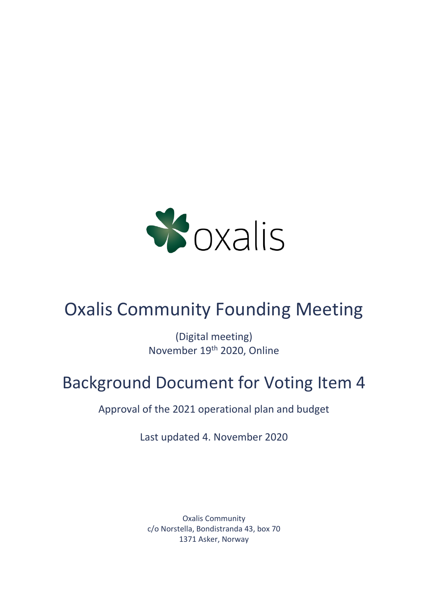

# Oxalis Community Founding Meeting

(Digital meeting) November 19th 2020, Online

# Background Document for Voting Item 4

Approval of the 2021 operational plan and budget

Last updated 4. November 2020

Oxalis Community c/o Norstella, Bondistranda 43, box 70 1371 Asker, Norway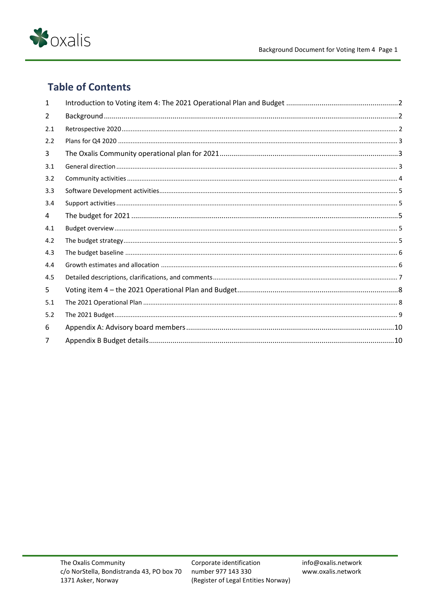

# **Table of Contents**

| 1   |  |
|-----|--|
| 2   |  |
| 2.1 |  |
| 2.2 |  |
| 3   |  |
| 3.1 |  |
| 3.2 |  |
| 3.3 |  |
| 3.4 |  |
| 4   |  |
| 4.1 |  |
| 4.2 |  |
| 4.3 |  |
| 4.4 |  |
| 4.5 |  |
| 5   |  |
| 5.1 |  |
| 5.2 |  |
| 6   |  |
|     |  |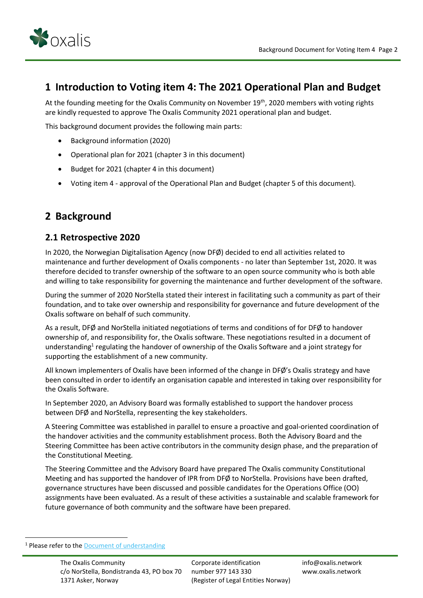

## <span id="page-2-0"></span>**1 Introduction to Voting item 4: The 2021 Operational Plan and Budget**

At the founding meeting for the Oxalis Community on November 19<sup>th</sup>, 2020 members with voting rights are kindly requested to approve The Oxalis Community 2021 operational plan and budget.

This background document provides the following main parts:

- Background information (2020)
- Operational plan for 2021 (chapter 3 in this document)
- Budget for 2021 (chapter 4 in this document)
- Voting item 4 approval of the Operational Plan and Budget (chapter 5 of this document).

## <span id="page-2-1"></span>**2 Background**

#### <span id="page-2-2"></span>**2.1 Retrospective 2020**

In 2020, the Norwegian Digitalisation Agency (now DFØ) decided to end all activities related to maintenance and further development of Oxalis components - no later than September 1st, 2020. It was therefore decided to transfer ownership of the software to an open source community who is both able and willing to take responsibility for governing the maintenance and further development of the software.

During the summer of 2020 NorStella stated their interest in facilitating such a community as part of their foundation, and to take over ownership and responsibility for governance and future development of the Oxalis software on behalf of such community.

As a result, DFØ and NorStella initiated negotiations of terms and conditions of for DFØ to handover ownership of, and responsibility for, the Oxalis software. These negotiations resulted in a document of understanding<sup>1</sup> regulating the handover of ownership of the Oxalis Software and a joint strategy for supporting the establishment of a new community.

All known implementers of Oxalis have been informed of the change in DFØ's Oxalis strategy and have been consulted in order to identify an organisation capable and interested in taking over responsibility for the Oxalis Software.

In September 2020, an Advisory Board was formally established to support the handover process between DFØ and NorStella, representing the key stakeholders.

A Steering Committee was established in parallel to ensure a proactive and goal-oriented coordination of the handover activities and the community establishment process. Both the Advisory Board and the Steering Committee has been active contributors in the community design phase, and the preparation of the Constitutional Meeting.

The Steering Committee and the Advisory Board have prepared The Oxalis community Constitutional Meeting and has supported the handover of IPR from DFØ to NorStella. Provisions have been drafted, governance structures have been discussed and possible candidates for the Operations Office (OO) assignments have been evaluated. As a result of these activities a sustainable and scalable framework for future governance of both community and the software have been prepared.

<sup>&</sup>lt;sup>1</sup> Please refer to the **Document of understanding**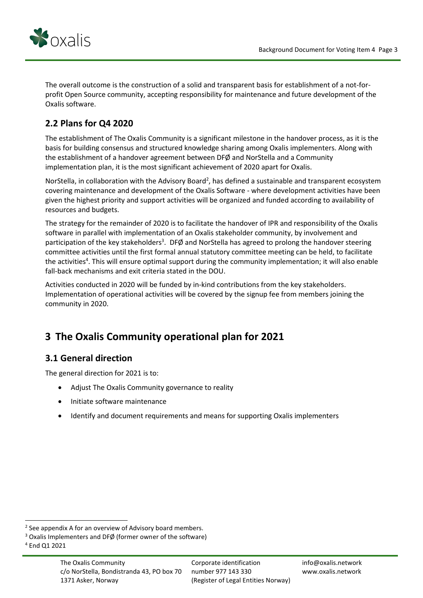

The overall outcome is the construction of a solid and transparent basis for establishment of a not-forprofit Open Source community, accepting responsibility for maintenance and future development of the Oxalis software.

# <span id="page-3-0"></span>**2.2 Plans for Q4 2020**

The establishment of The Oxalis Community is a significant milestone in the handover process, as it is the basis for building consensus and structured knowledge sharing among Oxalis implementers. Along with the establishment of a handover agreement between DFØ and NorStella and a Community implementation plan, it is the most significant achievement of 2020 apart for Oxalis.

NorStella, in collaboration with the Advisory Board<sup>2</sup>, has defined a sustainable and transparent ecosystem covering maintenance and development of the Oxalis Software - where development activities have been given the highest priority and support activities will be organized and funded according to availability of resources and budgets.

The strategy for the remainder of 2020 is to facilitate the handover of IPR and responsibility of the Oxalis software in parallel with implementation of an Oxalis stakeholder community, by involvement and participation of the key stakeholders<sup>3</sup>. DFØ and NorStella has agreed to prolong the handover steering committee activities until the first formal annual statutory committee meeting can be held, to facilitate the activities<sup>4</sup>. This will ensure optimal support during the community implementation; it will also enable fall-back mechanisms and exit criteria stated in the DOU.

Activities conducted in 2020 will be funded by in-kind contributions from the key stakeholders. Implementation of operational activities will be covered by the signup fee from members joining the community in 2020.

# <span id="page-3-1"></span>**3 The Oxalis Community operational plan for 2021**

## <span id="page-3-2"></span>**3.1 General direction**

The general direction for 2021 is to:

- Adjust The Oxalis Community governance to reality
- Initiate software maintenance
- Identify and document requirements and means for supporting Oxalis implementers

<sup>&</sup>lt;sup>2</sup> See appendix A for an overview of Advisory board members.

<sup>&</sup>lt;sup>3</sup> Oxalis Implementers and DFØ (former owner of the software)

<sup>4</sup> End Q1 2021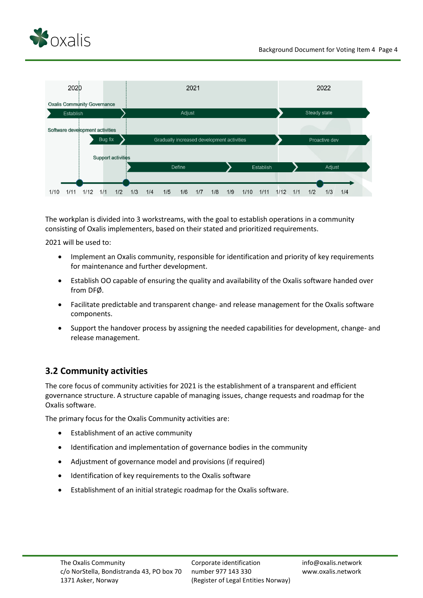



The workplan is divided into 3 workstreams, with the goal to establish operations in a community consisting of Oxalis implementers, based on their stated and prioritized requirements.

2021 will be used to:

- Implement an Oxalis community, responsible for identification and priority of key requirements for maintenance and further development.
- Establish OO capable of ensuring the quality and availability of the Oxalis software handed over from DFØ.
- Facilitate predictable and transparent change- and release management for the Oxalis software components.
- Support the handover process by assigning the needed capabilities for development, change- and release management.

## <span id="page-4-0"></span>**3.2 Community activities**

The core focus of community activities for 2021 is the establishment of a transparent and efficient governance structure. A structure capable of managing issues, change requests and roadmap for the Oxalis software.

The primary focus for the Oxalis Community activities are:

- Establishment of an active community
- Identification and implementation of governance bodies in the community
- Adjustment of governance model and provisions (if required)
- Identification of key requirements to the Oxalis software
- Establishment of an initial strategic roadmap for the Oxalis software.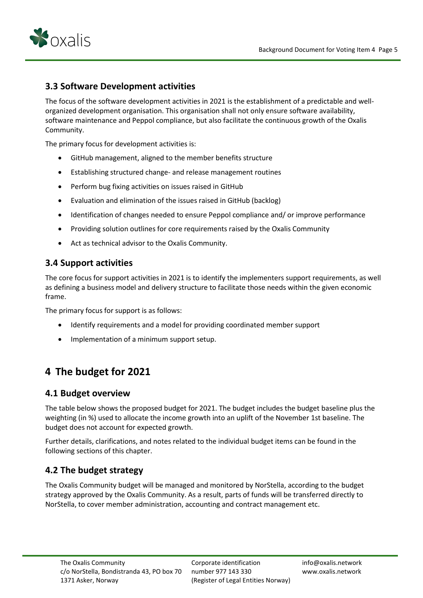

#### <span id="page-5-0"></span>**3.3 Software Development activities**

The focus of the software development activities in 2021 is the establishment of a predictable and wellorganized development organisation. This organisation shall not only ensure software availability, software maintenance and Peppol compliance, but also facilitate the continuous growth of the Oxalis Community.

The primary focus for development activities is:

- GitHub management, aligned to the member benefits structure
- Establishing structured change- and release management routines
- Perform bug fixing activities on issues raised in GitHub
- Evaluation and elimination of the issues raised in GitHub (backlog)
- Identification of changes needed to ensure Peppol compliance and/ or improve performance
- Providing solution outlines for core requirements raised by the Oxalis Community
- Act as technical advisor to the Oxalis Community.

#### <span id="page-5-1"></span>**3.4 Support activities**

The core focus for support activities in 2021 is to identify the implementers support requirements, as well as defining a business model and delivery structure to facilitate those needs within the given economic frame.

The primary focus for support is as follows:

- Identify requirements and a model for providing coordinated member support
- Implementation of a minimum support setup.

# <span id="page-5-2"></span>**4 The budget for 2021**

#### <span id="page-5-3"></span>**4.1 Budget overview**

The table below shows the proposed budget for 2021. The budget includes the budget baseline plus the weighting (in %) used to allocate the income growth into an uplift of the November 1st baseline. The budget does not account for expected growth.

Further details, clarifications, and notes related to the individual budget items can be found in the following sections of this chapter.

#### <span id="page-5-4"></span>**4.2 The budget strategy**

The Oxalis Community budget will be managed and monitored by NorStella, according to the budget strategy approved by the Oxalis Community. As a result, parts of funds will be transferred directly to NorStella, to cover member administration, accounting and contract management etc.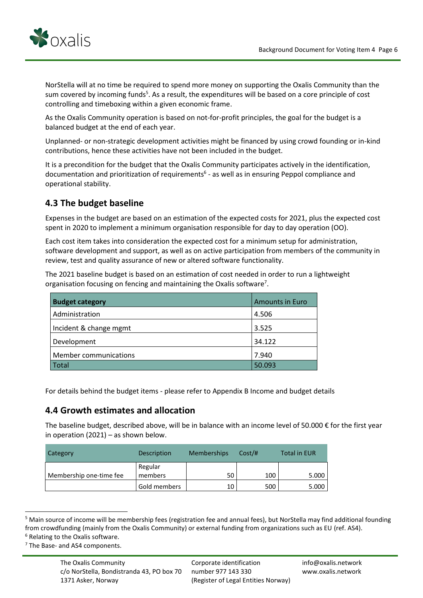

NorStella will at no time be required to spend more money on supporting the Oxalis Community than the sum covered by incoming funds<sup>5</sup>. As a result, the expenditures will be based on a core principle of cost controlling and timeboxing within a given economic frame.

As the Oxalis Community operation is based on not-for-profit principles, the goal for the budget is a balanced budget at the end of each year.

Unplanned- or non-strategic development activities might be financed by using crowd founding or in-kind contributions, hence these activities have not been included in the budget.

It is a precondition for the budget that the Oxalis Community participates actively in the identification, documentation and prioritization of requirements<sup>6</sup> - as well as in ensuring Peppol compliance and operational stability.

## <span id="page-6-0"></span>**4.3 The budget baseline**

Expenses in the budget are based on an estimation of the expected costs for 2021, plus the expected cost spent in 2020 to implement a minimum organisation responsible for day to day operation (OO).

Each cost item takes into consideration the expected cost for a minimum setup for administration, software development and support, as well as on active participation from members of the community in review, test and quality assurance of new or altered software functionality.

The 2021 baseline budget is based on an estimation of cost needed in order to run a lightweight organisation focusing on fencing and maintaining the Oxalis software<sup>7</sup>.

| <b>Budget category</b> | <b>Amounts in Euro</b> |
|------------------------|------------------------|
| Administration         | 4.506                  |
| Incident & change mgmt | 3.525                  |
| Development            | 34.122                 |
| Member communications  | 7.940                  |
| <b>Total</b>           | 50.093                 |

For details behind the budget items - please refer to Appendix B Income and budget details

#### <span id="page-6-1"></span>**4.4 Growth estimates and allocation**

The baseline budget, described above, will be in balance with an income level of 50.000 € for the first year in operation  $(2021)$  – as shown below.

| Category                | Description        | <b>Memberships</b> | Cost/H | <b>Total in EUR</b> |
|-------------------------|--------------------|--------------------|--------|---------------------|
| Membership one-time fee | Regular<br>members | 50                 | 100    | 5.000               |
|                         | Gold members       | 10                 | 500    | 5.000               |

<sup>&</sup>lt;sup>5</sup> Main source of income will be membership fees (registration fee and annual fees), but NorStella may find additional founding from crowdfunding (mainly from the Oxalis Community) or external funding from organizations such as EU (ref. AS4).

<sup>6</sup> Relating to the Oxalis software.

 $7$  The Base- and AS4 components.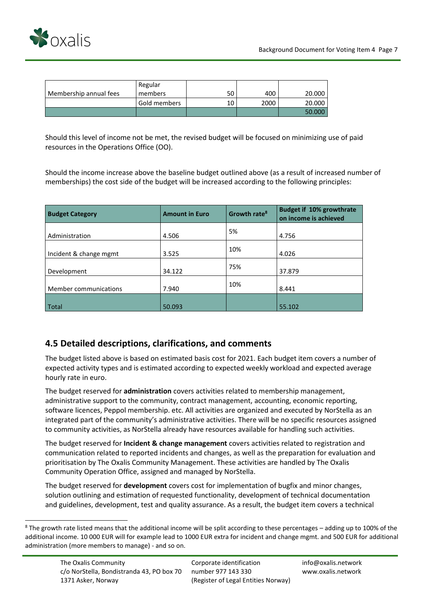

|                        | Regular      |    |      |        |
|------------------------|--------------|----|------|--------|
| Membership annual fees | members      | 50 | 400  | 20,000 |
|                        | Gold members | 10 | 2000 | 20.000 |
|                        |              |    |      | 50.000 |

Should this level of income not be met, the revised budget will be focused on minimizing use of paid resources in the Operations Office (OO).

Should the income increase above the baseline budget outlined above (as a result of increased number of memberships) the cost side of the budget will be increased according to the following principles:

| <b>Budget Category</b> | <b>Amount in Euro</b> | Growth rate <sup>8</sup> | <b>Budget if 10% growthrate</b><br>on income is achieved |
|------------------------|-----------------------|--------------------------|----------------------------------------------------------|
| Administration         | 4.506                 | 5%                       | 4.756                                                    |
| Incident & change mgmt | 3.525                 | 10%                      | 4.026                                                    |
| Development            | 34.122                | 75%                      | 37.879                                                   |
| Member communications  | 7.940                 | 10%                      | 8.441                                                    |
| Total                  | 50.093                |                          | 55.102                                                   |

#### <span id="page-7-0"></span>**4.5 Detailed descriptions, clarifications, and comments**

The budget listed above is based on estimated basis cost for 2021. Each budget item covers a number of expected activity types and is estimated according to expected weekly workload and expected average hourly rate in euro.

The budget reserved for **administration** covers activities related to membership management, administrative support to the community, contract management, accounting, economic reporting, software licences, Peppol membership. etc. All activities are organized and executed by NorStella as an integrated part of the community's administrative activities. There will be no specific resources assigned to community activities, as NorStella already have resources available for handling such activities.

The budget reserved for **Incident & change management** covers activities related to registration and communication related to reported incidents and changes, as well as the preparation for evaluation and prioritisation by The Oxalis Community Management. These activities are handled by The Oxalis Community Operation Office, assigned and managed by NorStella.

The budget reserved for **development** covers cost for implementation of bugfix and minor changes, solution outlining and estimation of requested functionality, development of technical documentation and guidelines, development, test and quality assurance. As a result, the budget item covers a technical

 $8$  The growth rate listed means that the additional income will be split according to these percentages – adding up to 100% of the additional income. 10 000 EUR will for example lead to 1000 EUR extra for incident and change mgmt. and 500 EUR for additional administration (more members to manage) - and so on.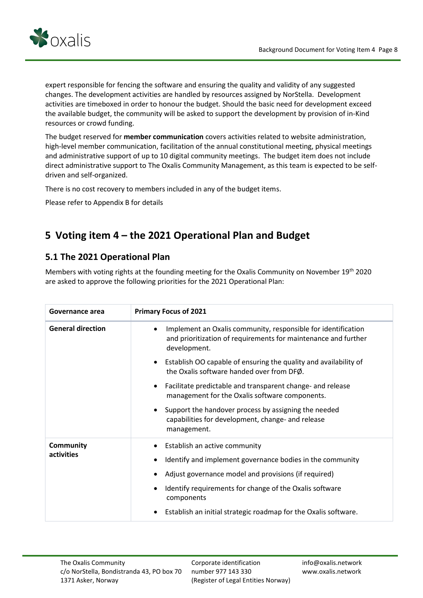

expert responsible for fencing the software and ensuring the quality and validity of any suggested changes. The development activities are handled by resources assigned by NorStella. Development activities are timeboxed in order to honour the budget. Should the basic need for development exceed the available budget, the community will be asked to support the development by provision of in-Kind resources or crowd funding.

The budget reserved for **member communication** covers activities related to website administration, high-level member communication, facilitation of the annual constitutional meeting, physical meetings and administrative support of up to 10 digital community meetings. The budget item does not include direct administrative support to The Oxalis Community Management, as this team is expected to be selfdriven and self-organized.

There is no cost recovery to members included in any of the budget items.

Please refer to Appendix B for details

# <span id="page-8-0"></span>**5 Voting item 4 – the 2021 Operational Plan and Budget**

## <span id="page-8-1"></span>**5.1 The 2021 Operational Plan**

Members with voting rights at the founding meeting for the Oxalis Community on November 19th 2020 are asked to approve the following priorities for the 2021 Operational Plan:

| Governance area                | <b>Primary Focus of 2021</b>                                                                                                                                 |
|--------------------------------|--------------------------------------------------------------------------------------------------------------------------------------------------------------|
| <b>General direction</b>       | Implement an Oxalis community, responsible for identification<br>$\bullet$<br>and prioritization of requirements for maintenance and further<br>development. |
|                                | Establish OO capable of ensuring the quality and availability of<br>$\bullet$<br>the Oxalis software handed over from DFØ.                                   |
|                                | Facilitate predictable and transparent change- and release<br>$\bullet$<br>management for the Oxalis software components.                                    |
|                                | Support the handover process by assigning the needed<br>$\bullet$<br>capabilities for development, change- and release<br>management.                        |
| <b>Community</b><br>activities | Establish an active community<br>$\bullet$                                                                                                                   |
|                                | Identify and implement governance bodies in the community                                                                                                    |
|                                | Adjust governance model and provisions (if required)<br>$\bullet$                                                                                            |
|                                | Identify requirements for change of the Oxalis software<br>components                                                                                        |
|                                | Establish an initial strategic roadmap for the Oxalis software.                                                                                              |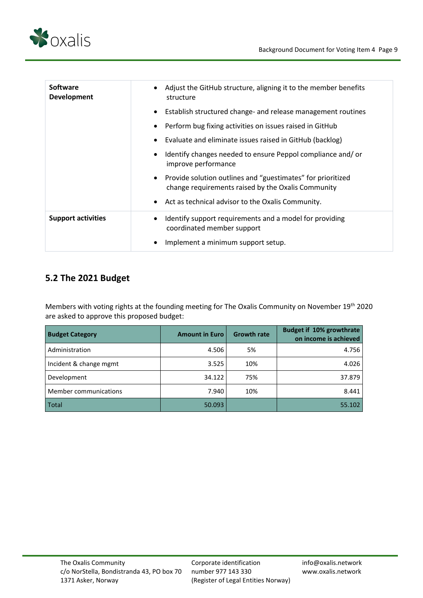



| <b>Software</b><br><b>Development</b> | Adjust the GitHub structure, aligning it to the member benefits<br>structure                                      |
|---------------------------------------|-------------------------------------------------------------------------------------------------------------------|
|                                       | Establish structured change- and release management routines                                                      |
|                                       | Perform bug fixing activities on issues raised in GitHub                                                          |
|                                       | Evaluate and eliminate issues raised in GitHub (backlog)                                                          |
|                                       | Identify changes needed to ensure Peppol compliance and/or<br>improve performance                                 |
|                                       | Provide solution outlines and "guestimates" for prioritized<br>change requirements raised by the Oxalis Community |
|                                       | • Act as technical advisor to the Oxalis Community.                                                               |
| <b>Support activities</b>             | Identify support requirements and a model for providing<br>coordinated member support                             |
|                                       | Implement a minimum support setup.                                                                                |

## <span id="page-9-0"></span>**5.2 The 2021 Budget**

Members with voting rights at the founding meeting for The Oxalis Community on November 19<sup>th</sup> 2020 are asked to approve this proposed budget:

| <b>Budget Category</b> | <b>Amount in Euro</b> | <b>Growth rate</b> | <b>Budget if 10% growthrate</b><br>on income is achieved |
|------------------------|-----------------------|--------------------|----------------------------------------------------------|
| Administration         | 4.506                 | 5%                 | 4.756                                                    |
| Incident & change mgmt | 3.525                 | 10%                | 4.026                                                    |
| Development            | 34.122                | 75%                | 37.879                                                   |
| Member communications  | 7.940                 | 10%                | 8.441                                                    |
| Total                  | 50.093                |                    | 55.102                                                   |